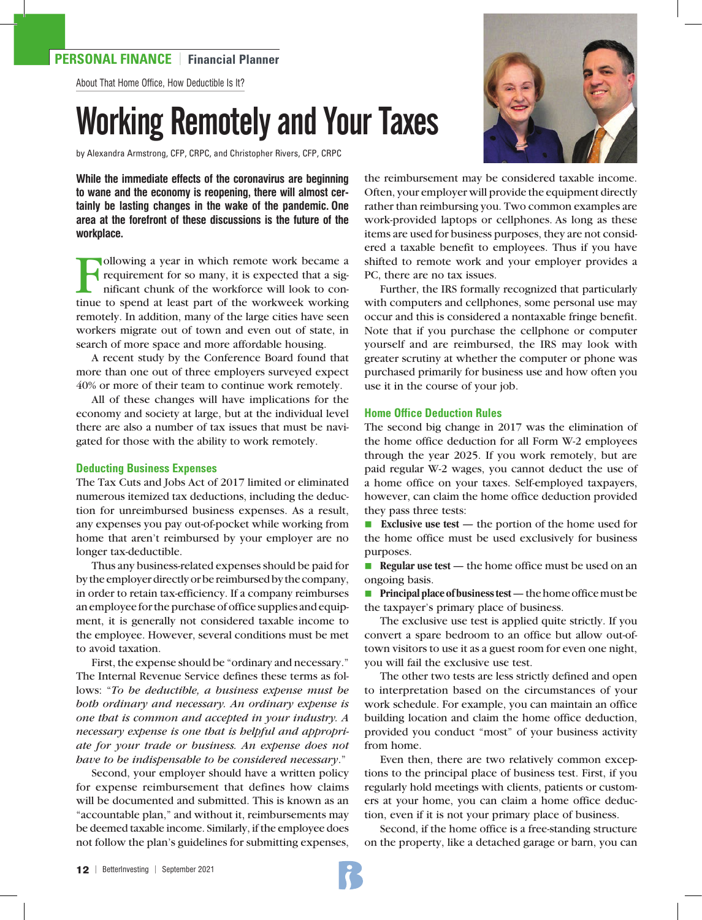# **PERSONAL FINANCE** | **Financial Planner**

About That Home Office, How Deductible Is It?

# Working Remotely and Your Taxes

by Alexandra Armstrong, CFP, CRPC, and Christopher Rivers, CFP, CRPC

**While the immediate effects of the coronavirus are beginning to wane and the economy is reopening, there will almost certainly be lasting changes in the wake of the pandemic. One area at the forefront of these discussions is the future of the workplace.**

Following a year in which remote work became a<br>requirement for so many, it is expected that a significant chunk of the workforce will look to con-<br>tinue to spend at least part of the workweek working requirement for so many, it is expected that a significant chunk of the workforce will look to continue to spend at least part of the workweek working remotely. In addition, many of the large cities have seen workers migrate out of town and even out of state, in search of more space and more affordable housing.

A recent study by the Conference Board found that more than one out of three employers surveyed expect 40% or more of their team to continue work remotely.

All of these changes will have implications for the economy and society at large, but at the individual level there are also a number of tax issues that must be navigated for those with the ability to work remotely.

#### **Deducting Business Expenses**

The Tax Cuts and Jobs Act of 2017 limited or eliminated numerous itemized tax deductions, including the deduction for unreimbursed business expenses. As a result, any expenses you pay out-of-pocket while working from home that aren't reimbursed by your employer are no longer tax-deductible.

Thus any business-related expenses should be paid for by the employer directly or be reimbursed by the company, in order to retain tax-efficiency. If a company reimburses an employee for the purchase of office supplies and equipment, it is generally not considered taxable income to the employee. However, several conditions must be met to avoid taxation.

First, the expense should be "ordinary and necessary." The Internal Revenue Service defines these terms as follows: "*To be deductible, a business expense must be both ordinary and necessary. An ordinary expense is one that is common and accepted in your industry. A necessary expense is one that is helpful and appropriate for your trade or business. An expense does not have to be indispensable to be considered necessary*."

Second, your employer should have a written policy for expense reimbursement that defines how claims will be documented and submitted. This is known as an "accountable plan," and without it, reimbursements may be deemed taxable income. Similarly, if the employee does not follow the plan's guidelines for submitting expenses,



the reimbursement may be considered taxable income. Often, your employer will provide the equipment directly rather than reimbursing you. Two common examples are work-provided laptops or cellphones. As long as these items are used for business purposes, they are not considered a taxable benefit to employees. Thus if you have shifted to remote work and your employer provides a PC, there are no tax issues.

Further, the IRS formally recognized that particularly with computers and cellphones, some personal use may occur and this is considered a nontaxable fringe benefit. Note that if you purchase the cellphone or computer yourself and are reimbursed, the IRS may look with greater scrutiny at whether the computer or phone was purchased primarily for business use and how often you use it in the course of your job.

#### **Home Office Deduction Rules**

The second big change in 2017 was the elimination of the home office deduction for all Form W-2 employees through the year 2025. If you work remotely, but are paid regular W-2 wages, you cannot deduct the use of a home office on your taxes. Self-employed taxpayers, however, can claim the home office deduction provided they pass three tests:

■ **Exclusive use test** — the portion of the home used for the home office must be used exclusively for business purposes.

**Regular use test** — the home office must be used on an ongoing basis.

**n Principal place of business test** — the home office must be the taxpayer's primary place of business.

The exclusive use test is applied quite strictly. If you convert a spare bedroom to an office but allow out-oftown visitors to use it as a guest room for even one night, you will fail the exclusive use test.

The other two tests are less strictly defined and open to interpretation based on the circumstances of your work schedule. For example, you can maintain an office building location and claim the home office deduction, provided you conduct "most" of your business activity from home.

Even then, there are two relatively common exceptions to the principal place of business test. First, if you regularly hold meetings with clients, patients or customers at your home, you can claim a home office deduction, even if it is not your primary place of business.

Second, if the home office is a free-standing structure on the property, like a detached garage or barn, you can